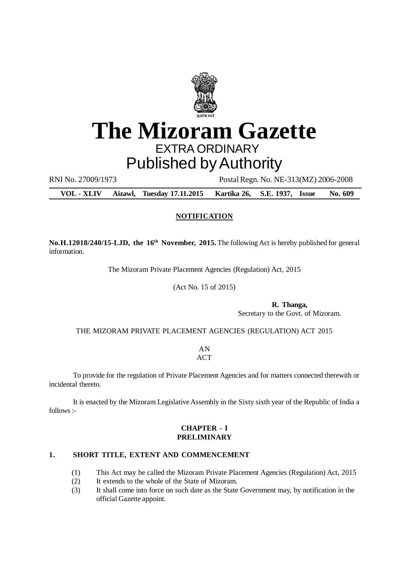

# **The Mizoram Gazette** EXTRA ORDINARY

# Published by Authority

RNI No. 27009/1973 Postal Regn. No. NE-313(MZ) 2006-2008

**VOL - XLIV Aizawl, Tuesday 17.11.2015 Kartika 26, S.E. 1937, Issue No. 609**

# **NOTIFICATION**

**No.H.12018/240/15-LJD, the 16th November, 2015.**The following Act is hereby published for general information.

The Mizoram Private Placement Agencies (Regulation) Act, 2015

(Act No. 15 of 2015)

**R. Thanga,** Secretary to the Govt. of Mizoram.

THE MIZORAM PRIVATE PLACEMENT AGENCIES (REGULATION) ACT 2015

AN **ACT** 

To provide for the regulation of Private Placement Agencies and for matters connected therewith or incidental thereto.

It is enacted by the Mizoram Legislative Assembly in the Sixty sixth year of the Republic of India a follows :-

# **CHAPTER - I PRELIMINARY**

## **1. SHORT TITLE, EXTENT AND COMMENCEMENT**

- (1) This Act may be called the Mizoram Private Placement Agencies (Regulation) Act, 2015
- (2) It extends to the whole of the State of Mizoram.
- (3) It shall come into force on such date as the State Government may, by notification in the official Gazette appoint.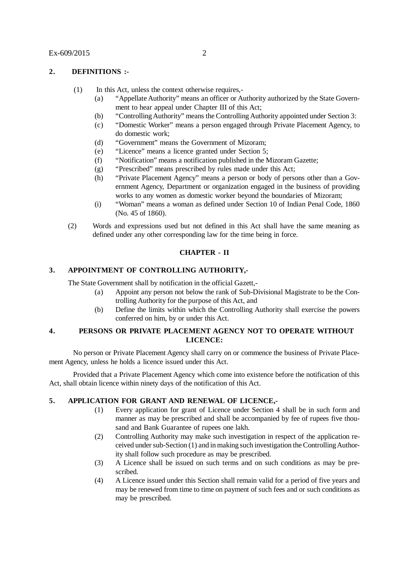# **2. DEFINITIONS :-**

- (1) In this Act, unless the context otherwise requires,-
	- (a) "Appellate Authority" means an officer or Authority authorized by the State Government to hear appeal under Chapter III of this Act;
	- (b) "Controlling Authority" means the Controlling Authority appointed under Section 3:
	- (c) "Domestic Worker" means a person engaged through Private Placement Agency, to do domestic work;
	- (d) "Government" means the Government of Mizoram;
	- (e) "Licence" means a licence granted under Section 5;
	- (f) "Notification" means a notification published in the Mizoram Gazette;
	- (g) "Prescribed" means prescribed by rules made under this Act;
	- (h) "Private Placement Agency" means a person or body of persons other than a Government Agency, Department or organization engaged in the business of providing works to any women as domestic worker beyond the boundaries of Mizoram;
	- (i) "Woman" means a woman as defined under Section 10 of Indian Penal Code, 1860 (No. 45 of 1860).
- (2) Words and expressions used but not defined in this Act shall have the same meaning as defined under any other corresponding law for the time being in force.

## **CHAPTER - II**

#### **3. APPOINTMENT OF CONTROLLING AUTHORITY,-**

The State Government shall by notification in the official Gazett,-

- (a) Appoint any person not below the rank of Sub-Divisional Magistrate to be the Controlling Authority for the purpose of this Act, and
- (b) Define the limits within which the Controlling Authority shall exercise the powers conferred on him, by or under this Act.

# **4. PERSONS OR PRIVATE PLACEMENT AGENCY NOT TO OPERATE WITHOUT LICENCE:**

No person or Private Placement Agency shall carry on or commence the business of Private Placement Agency, unless he holds a licence issued under this Act.

Provided that a Private Placement Agency which come into existence before the notification of this Act, shall obtain licence within ninety days of the notification of this Act.

# **5. APPLICATION FOR GRANT AND RENEWAL OF LICENCE,-**

- (1) Every application for grant of Licence under Section 4 shall be in such form and manner as may be prescribed and shall be accompanied by fee of rupees five thousand and Bank Guarantee of rupees one lakh.
- (2) Controlling Authority may make such investigation in respect of the application received under sub-Section (1) and in making such investigation the Controlling Authority shall follow such procedure as may be prescribed.
- (3) A Licence shall be issued on such terms and on such conditions as may be prescribed.
- (4) A Licence issued under this Section shall remain valid for a period of five years and may be renewed from time to time on payment of such fees and or such conditions as may be prescribed.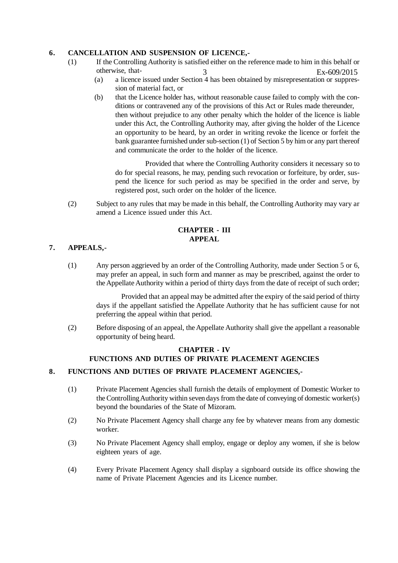# **6. CANCELLATION AND SUSPENSION OF LICENCE,-**

- (1) If the Controlling Authority is satisfied either on the reference made to him in this behalf or otherwise, that-  $Ex - 609/2015$ 
	- (a) a licence issued under Section 4 has been obtained by misrepresentation or suppression of material fact, or
	- (b) that the Licence holder has, without reasonable cause failed to comply with the conditions or contravened any of the provisions of this Act or Rules made thereunder, then without prejudice to any other penalty which the holder of the licence is liable under this Act, the Controlling Authority may, after giving the holder of the Licence an opportunity to be heard, by an order in writing revoke the licence or forfeit the bank guarantee furnished under sub-section (1) of Section 5 by him or any part thereof and communicate the order to the holder of the licence.

Provided that where the Controlling Authority considers it necessary so to do for special reasons, he may, pending such revocation or forfeiture, by order, suspend the licence for such period as may be specified in the order and serve, by registered post, such order on the holder of the licence.

(2) Subject to any rules that may be made in this behalf, the Controlling Authority may vary ar amend a Licence issued under this Act.

# **CHAPTER - III APPEAL**

# **7. APPEALS,-**

(1) Any person aggrieved by an order of the Controlling Authority, made under Section 5 or 6, may prefer an appeal, in such form and manner as may be prescribed, against the order to the Appellate Authority within a period of thirty days from the date of receipt of such order;

Provided that an appeal may be admitted after the expiry of the said period of thirty days if the appellant satisfied the Appellate Authority that he has sufficient cause for not preferring the appeal within that period.

(2) Before disposing of an appeal, the Appellate Authority shall give the appellant a reasonable opportunity of being heard.

# **CHAPTER - IV FUNCTIONS AND DUTIES OF PRIVATE PLACEMENT AGENCIES**

# **8. FUNCTIONS AND DUTIES OF PRIVATE PLACEMENT AGENCIES,-**

- (1) Private Placement Agencies shall furnish the details of employment of Domestic Worker to the Controlling Authority within seven days from the date of conveying of domestic worker(s) beyond the boundaries of the State of Mizoram.
- (2) No Private Placement Agency shall charge any fee by whatever means from any domestic worker.
- (3) No Private Placement Agency shall employ, engage or deploy any women, if she is below eighteen years of age.
- (4) Every Private Placement Agency shall display a signboard outside its office showing the name of Private Placement Agencies and its Licence number.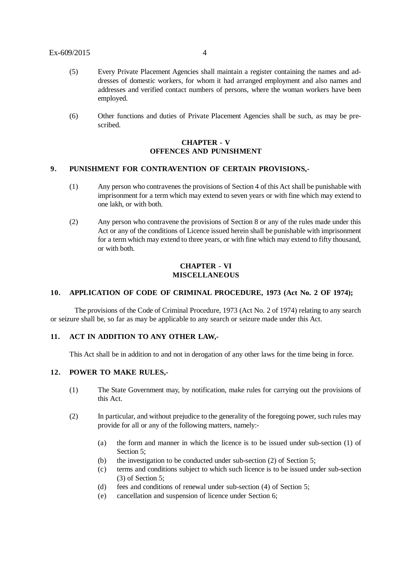#### Ex-609/2015 4

- (5) Every Private Placement Agencies shall maintain a register containing the names and addresses of domestic workers, for whom it had arranged employment and also names and addresses and verified contact numbers of persons, where the woman workers have been employed.
- (6) Other functions and duties of Private Placement Agencies shall be such, as may be prescribed.

# **CHAPTER - V OFFENCES AND PUNISHMENT**

#### **9. PUNISHMENT FOR CONTRAVENTION OF CERTAIN PROVISIONS,-**

- (1) Any person who contravenes the provisions of Section 4 of this Act shall be punishable with imprisonment for a term which may extend to seven years or with fine which may extend to one lakh, or with both.
- (2) Any person who contravene the provisions of Section 8 or any of the rules made under this Act or any of the conditions of Licence issued herein shall be punishable with imprisonment for a term which may extend to three years, or with fine which may extend to fifty thousand, or with both.

#### **CHAPTER - VI MISCELLANEOUS**

#### **10. APPLICATION OF CODE OF CRIMINAL PROCEDURE, 1973 (Act No. 2 OF 1974);**

The provisions of the Code of Criminal Procedure, 1973 (Act No. 2 of 1974) relating to any search or seizure shall be, so far as may be applicable to any search or seizure made under this Act.

#### **11. ACT IN ADDITION TO ANY OTHER LAW,-**

This Act shall be in addition to and not in derogation of any other laws for the time being in force.

# **12. POWER TO MAKE RULES,-**

- (1) The State Government may, by notification, make rules for carrying out the provisions of this Act.
- (2) In particular, and without prejudice to the generality of the foregoing power, such rules may provide for all or any of the following matters, namely:-
	- (a) the form and manner in which the licence is to be issued under sub-section (1) of Section 5;
	- (b) the investigation to be conducted under sub-section (2) of Section 5;
	- (c) terms and conditions subject to which such licence is to be issued under sub-section (3) of Section 5;
	- (d) fees and conditions of renewal under sub-section (4) of Section 5;
	- (e) cancellation and suspension of licence under Section 6;